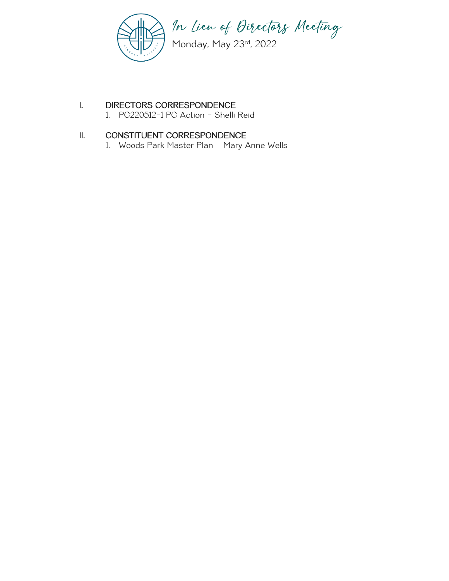

# I. DIRECTORS CORRESPONDENCE

1. PC220512-1 PC Action – Shelli Reid

# II. CONSTITUENT CORRESPONDENCE

1. Woods Park Master Plan – Mary Anne Wells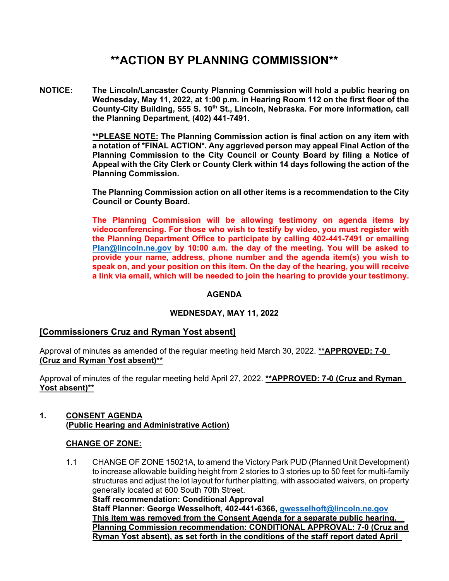# **\*\*ACTION BY PLANNING COMMISSION\*\***

**NOTICE: The Lincoln/Lancaster County Planning Commission will hold a public hearing on Wednesday, May 11, 2022, at 1:00 p.m. in Hearing Room 112 on the first floor of the**  County-City Building, 555 S. 10<sup>th</sup> St., Lincoln, Nebraska. For more information, call **the Planning Department, (402) 441-7491.** 

> **\*\*PLEASE NOTE: The Planning Commission action is final action on any item with a notation of \*FINAL ACTION\*. Any aggrieved person may appeal Final Action of the Planning Commission to the City Council or County Board by filing a Notice of Appeal with the City Clerk or County Clerk within 14 days following the action of the Planning Commission.**

> **The Planning Commission action on all other items is a recommendation to the City Council or County Board.**

> **The Planning Commission will be allowing testimony on agenda items by videoconferencing. For those who wish to testify by video, you must register with the Planning Department Office to participate by calling 402-441-7491 or emailing Plan@lincoln.ne.gov by 10:00 a.m. the day of the meeting. You will be asked to provide your name, address, phone number and the agenda item(s) you wish to speak on, and your position on this item. On the day of the hearing, you will receive a link via email, which will be needed to join the hearing to provide your testimony.**

# **AGENDA**

# **WEDNESDAY, MAY 11, 2022**

# **[Commissioners Cruz and Ryman Yost absent]**

Approval of minutes as amended of the regular meeting held March 30, 2022. **\*\*APPROVED: 7-0 (Cruz and Ryman Yost absent)\*\*** 

Approval of minutes of the regular meeting held April 27, 2022. **\*\*APPROVED: 7-0 (Cruz and Ryman Yost absent)\*\***

## **1. CONSENT AGENDA (Public Hearing and Administrative Action)**

#### **CHANGE OF ZONE:**

1.1 CHANGE OF ZONE 15021A, to amend the Victory Park PUD (Planned Unit Development) to increase allowable building height from 2 stories to 3 stories up to 50 feet for multi-family structures and adjust the lot layout for further platting, with associated waivers, on property generally located at 600 South 70th Street. **Staff recommendation: Conditional Approval Staff Planner: George Wesselhoft, 402-441-6366, gwesselhoft@lincoln.ne.gov This item was removed from the Consent Agenda for a separate public hearing. Planning Commission recommendation: CONDITIONAL APPROVAL: 7-0 (Cruz and Ryman Yost absent), as set forth in the conditions of the staff report dated April**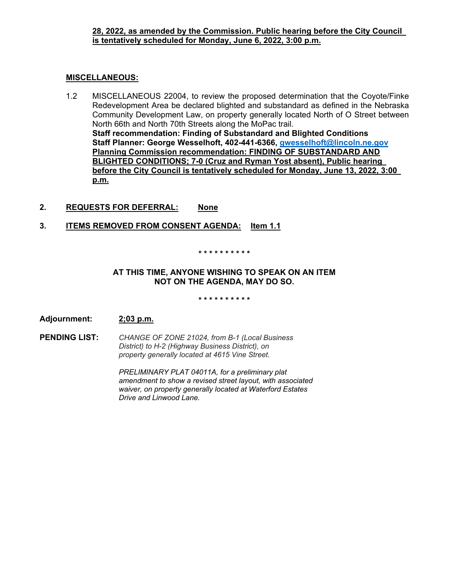## **28, 2022, as amended by the Commission. Public hearing before the City Council is tentatively scheduled for Monday, June 6, 2022, 3:00 p.m.**

### **MISCELLANEOUS:**

- 1.2 MISCELLANEOUS 22004, to review the proposed determination that the Coyote/Finke Redevelopment Area be declared blighted and substandard as defined in the Nebraska Community Development Law, on property generally located North of O Street between North 66th and North 70th Streets along the MoPac trail. **Staff recommendation: Finding of Substandard and Blighted Conditions Staff Planner: George Wesselhoft, 402-441-6366, gwesselhoft@lincoln.ne.gov Planning Commission recommendation: FINDING OF SUBSTANDARD AND BLIGHTED CONDITIONS; 7-0 (Cruz and Ryman Yost absent), Public hearing before the City Council is tentatively scheduled for Monday, June 13, 2022, 3:00 p.m.**
- **2. REQUESTS FOR DEFERRAL: None**
- **3. ITEMS REMOVED FROM CONSENT AGENDA: Item 1.1**

#### **\* \* \* \* \* \* \* \* \* \***

# **AT THIS TIME, ANYONE WISHING TO SPEAK ON AN ITEM NOT ON THE AGENDA, MAY DO SO.**

#### **\* \* \* \* \* \* \* \* \* \***

**Adjournment: 2;03 p.m.** 

**PENDING LIST:** *CHANGE OF ZONE 21024, from B-1 (Local Business District) to H-2 (Highway Business District), on property generally located at 4615 Vine Street.* 

> *PRELIMINARY PLAT 04011A, for a preliminary plat amendment to show a revised street layout, with associated waiver, on property generally located at Waterford Estates Drive and Linwood Lane.*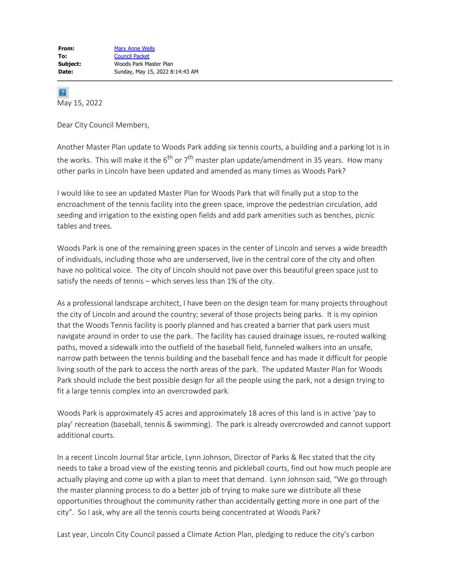$|2|$ May 15, 2022

Dear City Council Members,

Another Master Plan update to Woods Park adding six tennis courts, a building and a parking lot is in the works. This will make it the  $6^{th}$  or  $7^{th}$  master plan update/amendment in 35 years. How many other parks in Lincoln have been updated and amended as many times as Woods Park?

I would like to see an updated Master Plan for Woods Park that will finally put a stop to the encroachment of the tennis facility into the green space, improve the pedestrian circulation, add seeding and irrigation to the existing open fields and add park amenities such as benches, picnic tables and trees.

Woods Park is one of the remaining green spaces in the center of Lincoln and serves a wide breadth of individuals, including those who are underserved, live in the central core of the city and often have no political voice. The city of Lincoln should not pave over this beautiful green space just to satisfy the needs of tennis – which serves less than 1% of the city.

As a professional landscape architect, I have been on the design team for many projects throughout the city of Lincoln and around the country; several of those projects being parks. It is my opinion that the Woods Tennis facility is poorly planned and has created a barrier that park users must navigate around in order to use the park. The facility has caused drainage issues, re-routed walking paths, moved a sidewalk into the outfield of the baseball field, funneled walkers into an unsafe, narrow path between the tennis building and the baseball fence and has made it difficult for people living south of the park to access the north areas of the park. The updated Master Plan for Woods Park should include the best possible design for all the people using the park, not a design trying to fit a large tennis complex into an overcrowded park.

Woods Park is approximately 45 acres and approximately 18 acres of this land is in active 'pay to play' recreation (baseball, tennis & swimming). The park is already overcrowded and cannot support additional courts.

In a recent Lincoln Journal Star article, Lynn Johnson, Director of Parks & Rec stated that the city needs to take a broad view of the existing tennis and pickleball courts, find out how much people are actually playing and come up with a plan to meet that demand. Lynn Johnson said, "We go through the master planning process to do a better job of trying to make sure we distribute all these opportunities throughout the community rather than accidentally getting more in one part of the city". So I ask, why are all the tennis courts being concentrated at Woods Park?

Last year, Lincoln City Council passed a Climate Action Plan, pledging to reduce the city's carbon